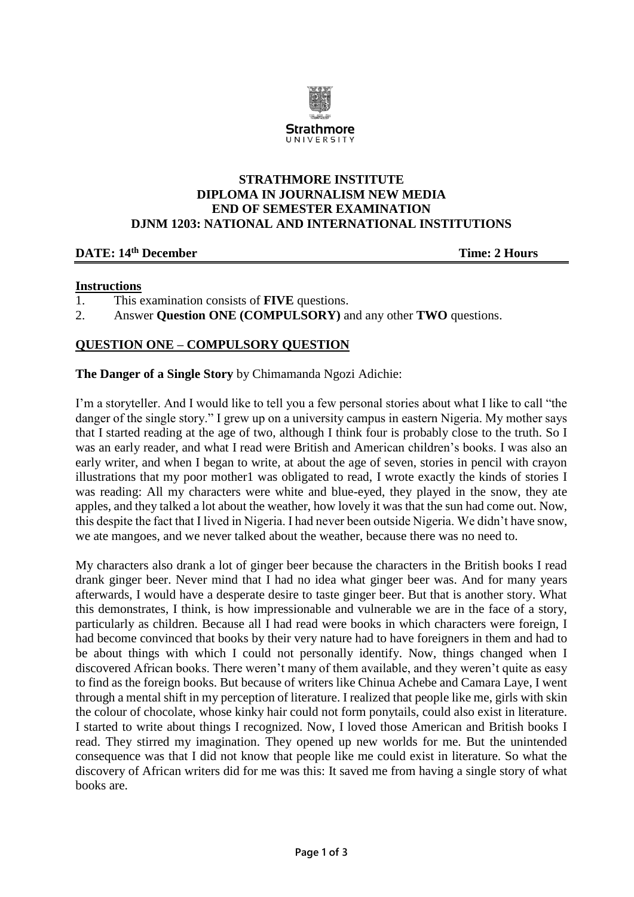

## **STRATHMORE INSTITUTE DIPLOMA IN JOURNALISM NEW MEDIA END OF SEMESTER EXAMINATION DJNM 1203: NATIONAL AND INTERNATIONAL INSTITUTIONS**

#### **DATE: 14th December Time: 2 Hours**

### **Instructions**

- 1. This examination consists of **FIVE** questions.
- 2. Answer **Question ONE (COMPULSORY)** and any other **TWO** questions.

# **QUESTION ONE – COMPULSORY QUESTION**

**The Danger of a Single Story** by Chimamanda Ngozi Adichie:

I'm a storyteller. And I would like to tell you a few personal stories about what I like to call "the danger of the single story." I grew up on a university campus in eastern Nigeria. My mother says that I started reading at the age of two, although I think four is probably close to the truth. So I was an early reader, and what I read were British and American children's books. I was also an early writer, and when I began to write, at about the age of seven, stories in pencil with crayon illustrations that my poor mother1 was obligated to read, I wrote exactly the kinds of stories I was reading: All my characters were white and blue-eyed, they played in the snow, they ate apples, and they talked a lot about the weather, how lovely it was that the sun had come out. Now, this despite the fact that I lived in Nigeria. I had never been outside Nigeria. We didn't have snow, we ate mangoes, and we never talked about the weather, because there was no need to.

My characters also drank a lot of ginger beer because the characters in the British books I read drank ginger beer. Never mind that I had no idea what ginger beer was. And for many years afterwards, I would have a desperate desire to taste ginger beer. But that is another story. What this demonstrates, I think, is how impressionable and vulnerable we are in the face of a story, particularly as children. Because all I had read were books in which characters were foreign, I had become convinced that books by their very nature had to have foreigners in them and had to be about things with which I could not personally identify. Now, things changed when I discovered African books. There weren't many of them available, and they weren't quite as easy to find as the foreign books. But because of writers like Chinua Achebe and Camara Laye, I went through a mental shift in my perception of literature. I realized that people like me, girls with skin the colour of chocolate, whose kinky hair could not form ponytails, could also exist in literature. I started to write about things I recognized. Now, I loved those American and British books I read. They stirred my imagination. They opened up new worlds for me. But the unintended consequence was that I did not know that people like me could exist in literature. So what the discovery of African writers did for me was this: It saved me from having a single story of what books are.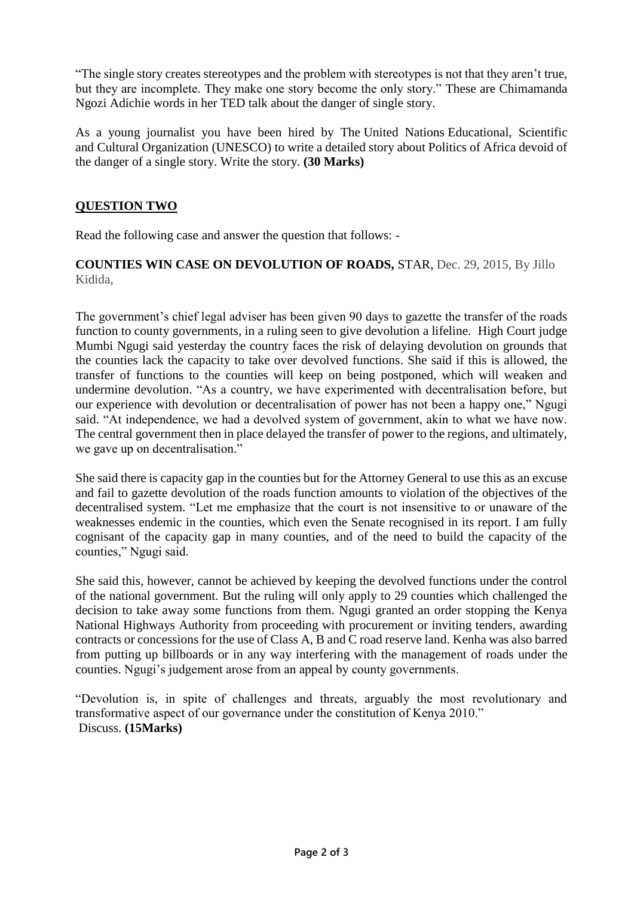"The single story creates stereotypes and the problem with stereotypes is not that they aren't true, but they are incomplete. They make one story become the only story." These are Chimamanda Ngozi Adichie words in her TED talk about the danger of single story.

As a young journalist you have been hired by The United Nations Educational, Scientific and Cultural Organization (UNESCO) to write a detailed story about Politics of Africa devoid of the danger of a single story. Write the story. **(30 Marks)** 

# **QUESTION TWO**

Read the following case and answer the question that follows: -

## **COUNTIES WIN CASE ON DEVOLUTION OF ROADS,** STAR, Dec. 29, 2015, By Jillo Kidida,

The government's chief legal adviser has been given 90 days to gazette the transfer of the roads function to county governments, in a ruling seen to give devolution a lifeline. High Court judge Mumbi Ngugi said yesterday the country faces the risk of delaying devolution on grounds that the counties lack the capacity to take over devolved functions. She said if this is allowed, the transfer of functions to the counties will keep on being postponed, which will weaken and undermine devolution. "As a country, we have experimented with decentralisation before, but our experience with devolution or decentralisation of power has not been a happy one," Ngugi said. "At independence, we had a devolved system of government, akin to what we have now. The central government then in place delayed the transfer of power to the regions, and ultimately, we gave up on decentralisation."

She said there is capacity gap in the counties but for the Attorney General to use this as an excuse and fail to gazette devolution of the roads function amounts to violation of the objectives of the decentralised system. "Let me emphasize that the court is not insensitive to or unaware of the weaknesses endemic in the counties, which even the Senate recognised in its report. I am fully cognisant of the capacity gap in many counties, and of the need to build the capacity of the counties," Ngugi said.

She said this, however, cannot be achieved by keeping the devolved functions under the control of the national government. But the ruling will only apply to 29 counties which challenged the decision to take away some functions from them. Ngugi granted an order stopping the Kenya National Highways Authority from proceeding with procurement or inviting tenders, awarding contracts or concessions for the use of Class A, B and C road reserve land. Kenha was also barred from putting up billboards or in any way interfering with the management of roads under the counties. Ngugi's judgement arose from an appeal by county governments.

"Devolution is, in spite of challenges and threats, arguably the most revolutionary and transformative aspect of our governance under the constitution of Kenya 2010." Discuss. **(15Marks)**